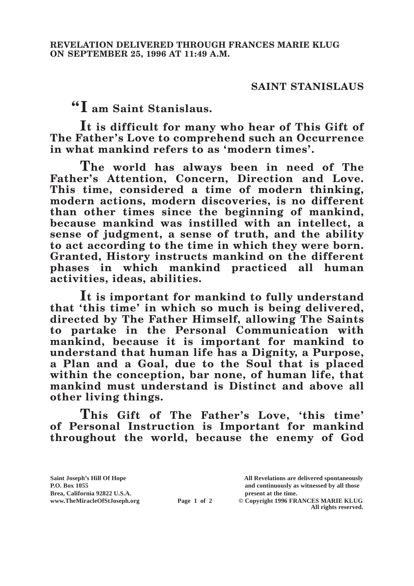## **SAINT STANISLAUS**

**"I am Saint Stanislaus.**

**It is difficult for many who hear of This Gift of The Father's Love to comprehend such an Occurrence in what mankind refers to as 'modern times'.**

**The world has always been in need of The Father's Attention, Concern, Direction and Love. This time, considered a time of modern thinking, modern actions, modern discoveries, is no different than other times since the beginning of mankind, because mankind was instilled with an intellect, a sense of judgment, a sense of truth, and the ability to act according to the time in which they were born. Granted, History instructs mankind on the different phases in which mankind practiced all human activities, ideas, abilities.**

**It is important for mankind to fully understand that 'this time' in which so much is being delivered, directed by The Father Himself, allowing The Saints to partake in the Personal Communication with mankind, because it is important for mankind to understand that human life has a Dignity, a Purpose, a Plan and a Goal, due to the Soul that is placed within the conception, bar none, of human life, that mankind must understand is Distinct and above all other living things.**

**This Gift of The Father's Love, 'this time' of Personal Instruction is Important for mankind throughout the world, because the enemy of God** 

**Brea, California 92822 U.S.A. present at the time.**<br> **present at the time.**<br> **present at the time.**<br> **present at the time.**<br> **present at the time.**<br> **present at the time.** 

**Saint Joseph's Hill Of Hope All Revelations are delivered spontaneously P.O. Box 1055 and continuously as witnessed by all those** 

**Page 1 of 2** © Copyright 1996 FRANCES MARIE KLUG **All rights reserved.**